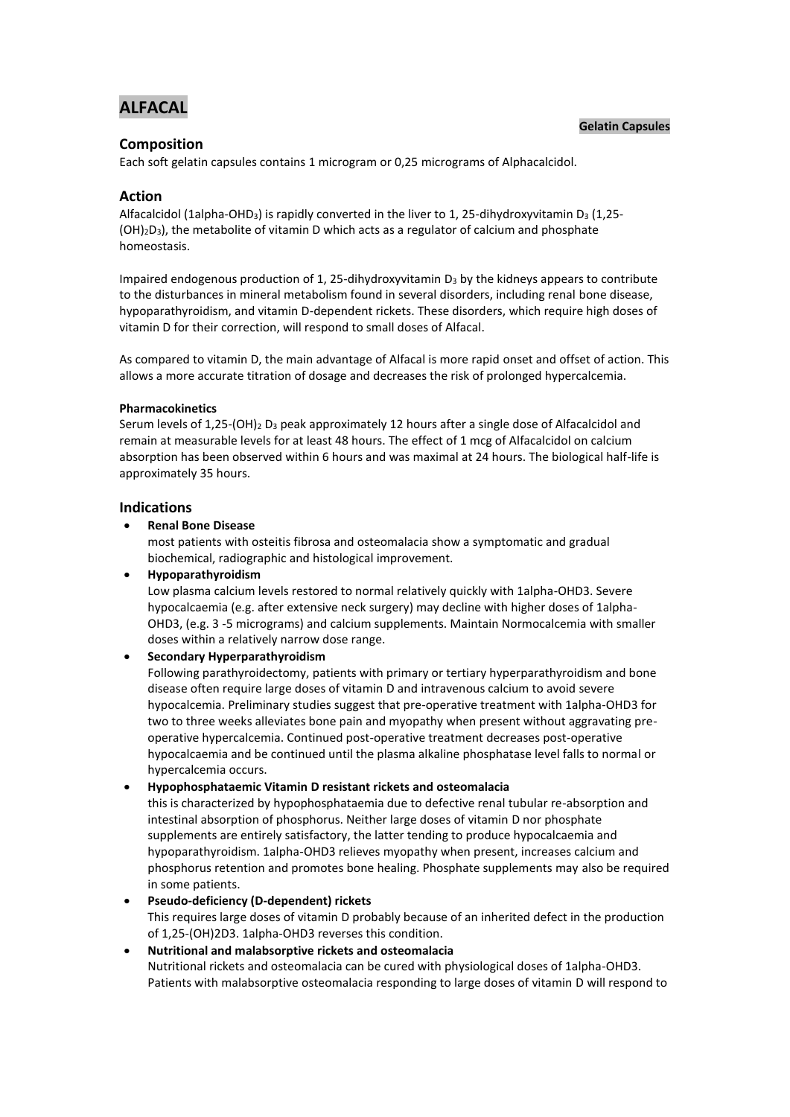# **ALFACAL**

## **Gelatin Capsules**

# **Composition**

Each soft gelatin capsules contains 1 microgram or 0,25 micrograms of Alphacalcidol.

# **Action**

Alfacalcidol (1alpha-OHD<sub>3</sub>) is rapidly converted in the liver to 1, 25-dihydroxyvitamin D<sub>3</sub> (1,25- $(OH)<sub>2</sub>D<sub>3</sub>$ , the metabolite of vitamin D which acts as a regulator of calcium and phosphate homeostasis.

Impaired endogenous production of 1, 25-dihydroxyvitamin  $D_3$  by the kidneys appears to contribute to the disturbances in mineral metabolism found in several disorders, including renal bone disease, hypoparathyroidism, and vitamin D-dependent rickets. These disorders, which require high doses of vitamin D for their correction, will respond to small doses of Alfacal.

As compared to vitamin D, the main advantage of Alfacal is more rapid onset and offset of action. This allows a more accurate titration of dosage and decreases the risk of prolonged hypercalcemia.

#### **Pharmacokinetics**

Serum levels of 1,25-(OH)<sub>2</sub> D<sub>3</sub> peak approximately 12 hours after a single dose of Alfacalcidol and remain at measurable levels for at least 48 hours. The effect of 1 mcg of Alfacalcidol on calcium absorption has been observed within 6 hours and was maximal at 24 hours. The biological half-life is approximately 35 hours.

## **Indications**

**Renal Bone Disease**

most patients with osteitis fibrosa and osteomalacia show a symptomatic and gradual biochemical, radiographic and histological improvement.

#### **Hypoparathyroidism**

Low plasma calcium levels restored to normal relatively quickly with 1alpha-OHD3. Severe hypocalcaemia (e.g. after extensive neck surgery) may decline with higher doses of 1alpha-OHD3, (e.g. 3 -5 micrograms) and calcium supplements. Maintain Normocalcemia with smaller doses within a relatively narrow dose range.

# **Secondary Hyperparathyroidism**

Following parathyroidectomy, patients with primary or tertiary hyperparathyroidism and bone disease often require large doses of vitamin D and intravenous calcium to avoid severe hypocalcemia. Preliminary studies suggest that pre-operative treatment with 1alpha-OHD3 for two to three weeks alleviates bone pain and myopathy when present without aggravating preoperative hypercalcemia. Continued post-operative treatment decreases post-operative hypocalcaemia and be continued until the plasma alkaline phosphatase level falls to normal or hypercalcemia occurs.

#### **Hypophosphataemic Vitamin D resistant rickets and osteomalacia**

this is characterized by hypophosphataemia due to defective renal tubular re-absorption and intestinal absorption of phosphorus. Neither large doses of vitamin D nor phosphate supplements are entirely satisfactory, the latter tending to produce hypocalcaemia and hypoparathyroidism. 1alpha-OHD3 relieves myopathy when present, increases calcium and phosphorus retention and promotes bone healing. Phosphate supplements may also be required in some patients.

#### **Pseudo-deficiency (D-dependent) rickets**

This requires large doses of vitamin D probably because of an inherited defect in the production of 1,25-(OH)2D3. 1alpha-OHD3 reverses this condition.

# **Nutritional and malabsorptive rickets and osteomalacia**

Nutritional rickets and osteomalacia can be cured with physiological doses of 1alpha-OHD3. Patients with malabsorptive osteomalacia responding to large doses of vitamin D will respond to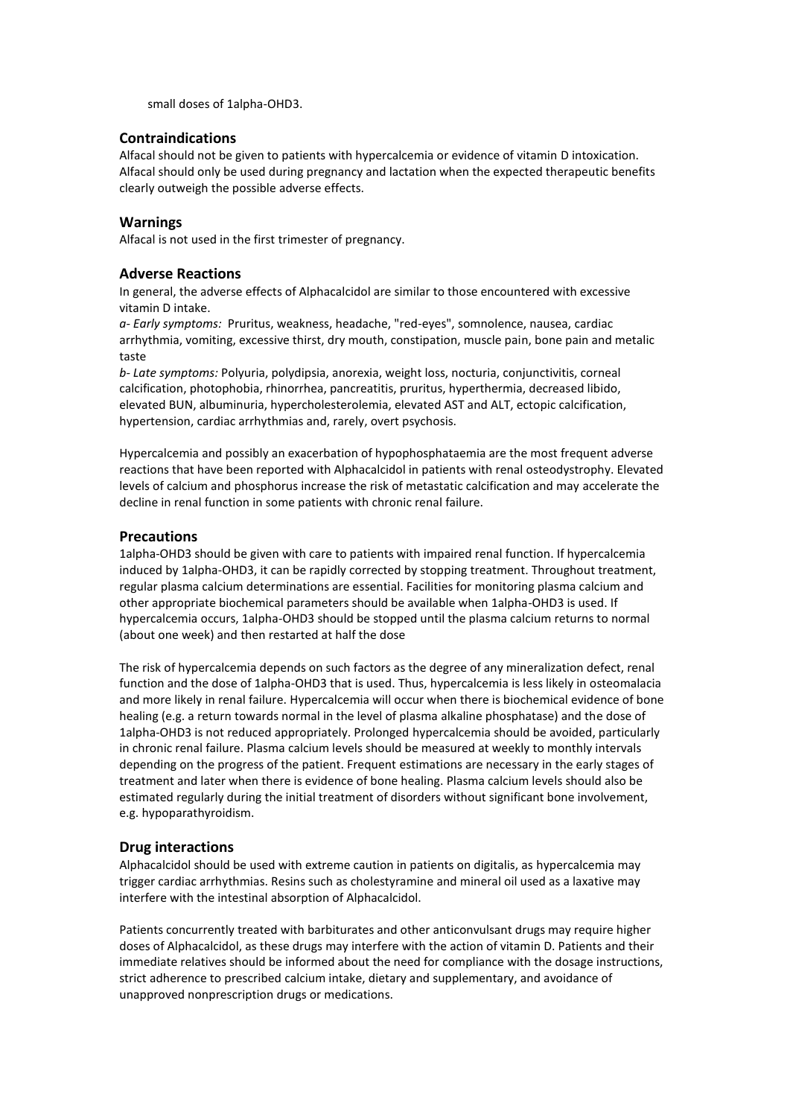small doses of 1alpha-OHD3.

# **Contraindications**

Alfacal should not be given to patients with hypercalcemia or evidence of vitamin D intoxication. Alfacal should only be used during pregnancy and lactation when the expected therapeutic benefits clearly outweigh the possible adverse effects.

## **Warnings**

Alfacal is not used in the first trimester of pregnancy.

## **Adverse Reactions**

In general, the adverse effects of Alphacalcidol are similar to those encountered with excessive vitamin D intake.

*a- Early symptoms:* Pruritus, weakness, headache, "red-eyes", somnolence, nausea, cardiac arrhythmia, vomiting, excessive thirst, dry mouth, constipation, muscle pain, bone pain and metalic taste

*b- Late symptoms:* Polyuria, polydipsia, anorexia, weight loss, nocturia, conjunctivitis, corneal calcification, photophobia, rhinorrhea, pancreatitis, pruritus, hyperthermia, decreased libido, elevated BUN, albuminuria, hypercholesterolemia, elevated AST and ALT, ectopic calcification, hypertension, cardiac arrhythmias and, rarely, overt psychosis.

Hypercalcemia and possibly an exacerbation of hypophosphataemia are the most frequent adverse reactions that have been reported with Alphacalcidol in patients with renal osteodystrophy. Elevated levels of calcium and phosphorus increase the risk of metastatic calcification and may accelerate the decline in renal function in some patients with chronic renal failure.

#### **Precautions**

1alpha-OHD3 should be given with care to patients with impaired renal function. If hypercalcemia induced by 1alpha-OHD3, it can be rapidly corrected by stopping treatment. Throughout treatment, regular plasma calcium determinations are essential. Facilities for monitoring plasma calcium and other appropriate biochemical parameters should be available when 1alpha-OHD3 is used. If hypercalcemia occurs, 1alpha-OHD3 should be stopped until the plasma calcium returns to normal (about one week) and then restarted at half the dose

The risk of hypercalcemia depends on such factors as the degree of any mineralization defect, renal function and the dose of 1alpha-OHD3 that is used. Thus, hypercalcemia is less likely in osteomalacia and more likely in renal failure. Hypercalcemia will occur when there is biochemical evidence of bone healing (e.g. a return towards normal in the level of plasma alkaline phosphatase) and the dose of 1alpha-OHD3 is not reduced appropriately. Prolonged hypercalcemia should be avoided, particularly in chronic renal failure. Plasma calcium levels should be measured at weekly to monthly intervals depending on the progress of the patient. Frequent estimations are necessary in the early stages of treatment and later when there is evidence of bone healing. Plasma calcium levels should also be estimated regularly during the initial treatment of disorders without significant bone involvement, e.g. hypoparathyroidism.

#### **Drug interactions**

Alphacalcidol should be used with extreme caution in patients on digitalis, as hypercalcemia may trigger cardiac arrhythmias. Resins such as cholestyramine and mineral oil used as a laxative may interfere with the intestinal absorption of Alphacalcidol.

Patients concurrently treated with barbiturates and other anticonvulsant drugs may require higher doses of Alphacalcidol, as these drugs may interfere with the action of vitamin D. Patients and their immediate relatives should be informed about the need for compliance with the dosage instructions, strict adherence to prescribed calcium intake, dietary and supplementary, and avoidance of unapproved nonprescription drugs or medications.